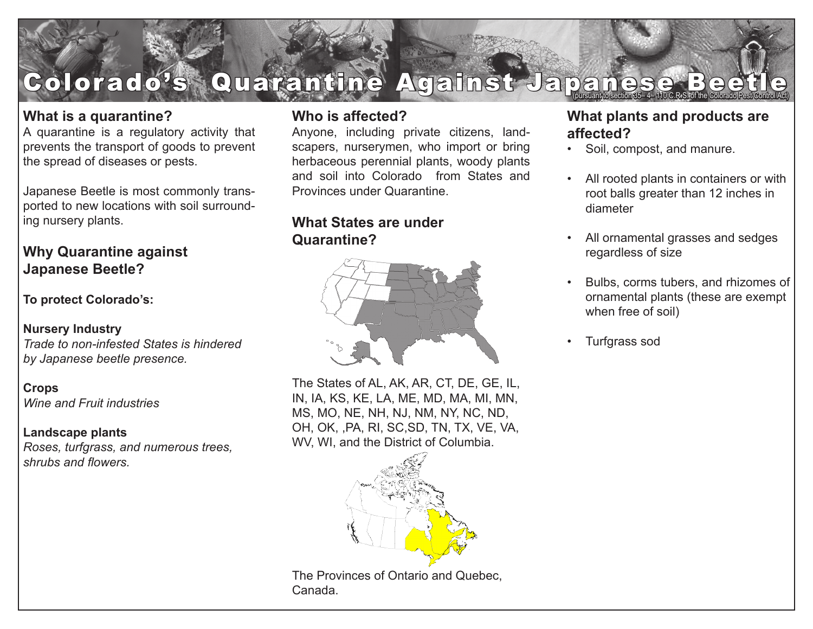# Colorado's Quarantine Against Japanese Beetle

### **What is a quarantine?**

A quarantine is a regulatory activity that prevents the transport of goods to prevent the spread of diseases or pests.

Japanese Beetle is most commonly transported to new locations with soil surrounding nursery plants.

### **Why Quarantine against Japanese Beetle?**

**To protect Colorado's:**

#### **Nursery Industry**

*Trade to non-infested States is hindered by Japanese beetle presence.*

**Crops** *Wine and Fruit industries*

#### **Landscape plants** *Roses, turfgrass, and numerous trees,*

*shrubs and flowers.*

### **Who is affected?**

Anyone, including private citizens, landscapers, nurserymen, who import or bring herbaceous perennial plants, woody plants and soil into Colorado from States and Provinces under Quarantine.

## **What States are under Quarantine?**



The States of AL, AK, AR, CT, DE, GE, IL, IN, IA, KS, KE, LA, ME, MD, MA, MI, MN, MS, MO, NE, NH, NJ, NM, NY, NC, ND, OH, OK, ,PA, RI, SC,SD, TN, TX, VE, VA, WV, WI, and the District of Columbia.



The Provinces of Ontario and Quebec, Canada.

### **What plants and products are affected?**

- Soil, compost, and manure.
- All rooted plants in containers or with root balls greater than 12 inches in diameter
- All ornamental grasses and sedges regardless of size
- Bulbs, corms tubers, and rhizomes of ornamental plants (these are exempt when free of soil)
- Turfgrass sod